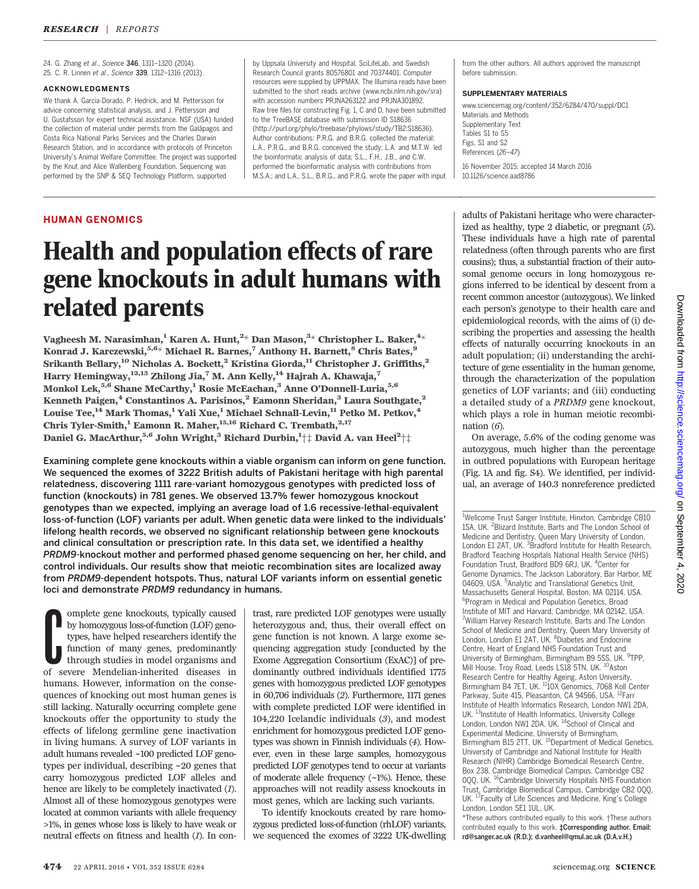24. G. Zhang et al., Science 346, 1311–1320 (2014). 25. C. R. Linnen et al., Science 339, 1312–1316 (2013).

# ACKNOWLEDGMENTS

We thank A. Garcia-Dorado, P. Hedrick, and M. Pettersson for advice concerning statistical analysis, and J. Pettersson and U. Gustafsson for expert technical assistance. NSF (USA) funded the collection of material under permits from the Galápagos and Costa Rica National Parks Services and the Charles Darwin Research Station, and in accordance with protocols of Princeton University's Animal Welfare Committee. The project was supported by the Knut and Alice Wallenberg Foundation. Sequencing was performed by the SNP & SEQ Technology Platform, supported

by Uppsala University and Hospital, SciLifeLab, and Swedish Research Council grants 80576801 and 70374401. Computer resources were supplied by UPPMAX. The Illumina reads have been submitted to the short reads archive (www.ncbi.nlm.nih.gov/sra) with accession numbers PRJNA263122 and PRJNA301892 Raw tree files for constructing Fig. 1, C and D, have been submitted to the TreeBASE database with submission ID S18636 (http://purl.org/phylo/treebase/phylows/study/TB2:S18636). Author contributions: P.R.G. and B.R.G. collected the material; L.A., P.R.G., and B.R.G. conceived the study; L.A. and M.T.W. led the bioinformatic analysis of data; S.L., F.H., J.B., and C.W. performed the bioinformatic analysis with contributions from M.S.A.; and L.A., S.L., B.R.G., and P.R.G. wrote the paper with input

from the other authors. All authors approved the manuscript before submission.

### SUPPLEMENTARY MATERIALS

www.sciencemag.org/content/352/6284/470/suppl/DC1 Materials and Methods Supplementary Text Tables S1 to S5 Figs. S1 and S2 References (26–47) 16 November 2015; accepted 14 March 2016 10.1126/science.aad8786

# HUMAN GENOMICS

# Health and population effects of rare gene knockouts in adult humans with related parents

Vagheesh M. Narasimhan, $^1$  Karen A. Hunt, $^{2\ast}$  Dan Mason, $^{3\ast}$  Christopher L. Baker, $^{4\ast}$ Konrad J. Karczewski,  $5.6*$  Michael R. Barnes,  $7$  Anthony H. Barnett,  $8$  Chris Bates,  $9$ Srikanth Bellary,<sup>10</sup> Nicholas A. Bockett,<sup>2</sup> Kristina Giorda,<sup>11</sup> Christopher J. Griffiths,<sup>2</sup> Harry Hemingway,<sup>12,13</sup> Zhilong Jia,<sup>7</sup> M. Ann Kelly,<sup>14</sup> Hajrah A. Khawaja,<sup>7</sup> Monkol Lek,5,6 Shane McCarthy,<sup>1</sup> Rosie McEachan,3 Anne O*'*Donnell-Luria,5,6 Kenneth Paigen,<sup>4</sup> Constantinos A. Parisinos,<sup>2</sup> Eamonn Sheridan,<sup>3</sup> Laura Southgate,<sup>2</sup> Louise Tee, $^{14}$  Mark Thomas, $^{1}$  Yali Xue, $^{1}$  Michael Schnall-Levin, $^{11}$  Petko M. Petkov, $^{4}$ Chris Tyler-Smith,<sup>1</sup> Eamonn R. Maher,<sup>15,16</sup> Richard C. Trembath,<sup>2,17</sup> Daniel G. MacArthur, $^{5,6}$  John Wright, $^3$  Richard Durbin, $^{1+\pm}$  David A. van Heel $^{2+\pm}$ 

Examining complete gene knockouts within a viable organism can inform on gene function. We sequenced the exomes of 3222 British adults of Pakistani heritage with high parental relatedness, discovering 1111 rare-variant homozygous genotypes with predicted loss of function (knockouts) in 781 genes. We observed 13.7% fewer homozygous knockout genotypes than we expected, implying an average load of 1.6 recessive-lethal-equivalent loss-of-function (LOF) variants per adult. When genetic data were linked to the individuals*'* lifelong health records, we observed no significant relationship between gene knockouts and clinical consultation or prescription rate. In this data set, we identified a healthy PRDM9-knockout mother and performed phased genome sequencing on her, her child, and control individuals. Our results show that meiotic recombination sites are localized away from PRDM9-dependent hotspots. Thus, natural LOF variants inform on essential genetic loci and demonstrate PRDM9 redundancy in humans.

**C**omplete gene knockouts, typically caused<br>by homozygous loss-of-function (LOF) geno-<br>types, have helped researchers identify the<br>function of many genes, predominantly<br>through studies in model organisms and<br>of severe Men omplete gene knockouts, typically caused by homozygous loss-of-function (LOF) genotypes, have helped researchers identify the function of many genes, predominantly through studies in model organisms and humans. However, information on the consequences of knocking out most human genes is still lacking. Naturally occurring complete gene knockouts offer the opportunity to study the effects of lifelong germline gene inactivation in living humans. A survey of LOF variants in adult humans revealed ~100 predicted LOF genotypes per individual, describing ~20 genes that carry homozygous predicted LOF alleles and hence are likely to be completely inactivated (1). Almost all of these homozygous genotypes were located at common variants with allele frequency >1%, in genes whose loss is likely to have weak or neutral effects on fitness and health (1). In con-

trast, rare predicted LOF genotypes were usually heterozygous and, thus, their overall effect on gene function is not known. A large exome sequencing aggregation study [conducted by the Exome Aggregation Consortium (ExAC)] of predominantly outbred individuals identified 1775 genes with homozygous predicted LOF genotypes in 60,706 individuals (2). Furthermore, 1171 genes with complete predicted LOF were identified in 104,220 Icelandic individuals (3), and modest enrichment for homozygous predicted LOF genotypes was shown in Finnish individuals (4). However, even in these large samples, homozygous predicted LOF genotypes tend to occur at variants of moderate allele frequency (~1%). Hence, these approaches will not readily assess knockouts in most genes, which are lacking such variants.

To identify knockouts created by rare homozygous predicted loss-of-function (rhLOF) variants, we sequenced the exomes of 3222 UK-dwelling

adults of Pakistani heritage who were characterized as healthy, type 2 diabetic, or pregnant (5). These individuals have a high rate of parental relatedness (often through parents who are first cousins); thus, a substantial fraction of their autosomal genome occurs in long homozygous regions inferred to be identical by descent from a recent common ancestor (autozygous). We linked each person's genotype to their health care and epidemiological records, with the aims of (i) describing the properties and assessing the health effects of naturally occurring knockouts in an adult population; (ii) understanding the architecture of gene essentiality in the human genome, through the characterization of the population genetics of LOF variants; and (iii) conducting a detailed study of a PRDM9 gene knockout, which plays a role in human meiotic recombination  $(6)$ .

On average, 5.6% of the coding genome was autozygous, much higher than the percentage in outbred populations with European heritage (Fig. 1A and fig. S4). We identified, per individual, an average of 140.3 nonreference predicted

<sup>1</sup>Wellcome Trust Sanger Institute, Hinxton, Cambridge CB10 1SA, UK. <sup>2</sup>Blizard Institute, Barts and The London School of Medicine and Dentistry, Queen Mary University of London, London E1 2AT, UK. <sup>3</sup> Bradford Institute for Health Research, Bradford Teaching Hospitals National Health Service (NHS) Foundation Trust, Bradford BD9 6RJ, UK. <sup>4</sup>Center for Genome Dynamics, The Jackson Laboratory, Bar Harbor, ME 04609, USA. <sup>5</sup>Analytic and Translational Genetics Unit, Massachusetts General Hospital, Boston, MA 02114, USA. 6 Program in Medical and Population Genetics, Broad Institute of MIT and Harvard, Cambridge, MA 02142, USA. <sup>7</sup>William Harvey Research Institute, Barts and The London School of Medicine and Dentistry, Queen Mary University of<br>London, London E1 2AT, UK. <sup>8</sup>Diabetes and Endocrine Centre, Heart of England NHS Foundation Trust and University of Birmingham, Birmingham B9 5SS, UK. <sup>9</sup>TPP, Mill House, Troy Road, Leeds LS18 5TN, UK. <sup>10</sup>Aston Research Centre for Healthy Ageing, Aston University, Birmingham B4 7ET, UK. <sup>11</sup>10X Genomics, 7068 Koll Center Parkway, Suite 415, Pleasanton, CA 94566, USA. <sup>12</sup>Farr Institute of Health Informatics Research, London NW1 2DA, UK. <sup>13</sup>Institute of Health Informatics, University College London, London NW1 2DA, UK. <sup>14</sup>School of Clinical and Experimental Medicine, University of Birmingham, Experimental mealuric, University of Birmingham,<br>Birmingham B15 2TT, UK. <sup>15</sup>Department of Medical Genetics, University of Cambridge and National Institute for Health Research (NIHR) Cambridge Biomedical Research Centre, Box 238, Cambridge Biomedical Campus, Cambridge CB2 0QQ, UK. 16Cambridge University Hospitals NHS Foundation Trust, Cambridge Biomedical Campus, Cambridge CB2 0QQ, UK. <sup>17</sup>Faculty of Life Sciences and Medicine, King's College London, London SE1 1UL, UK.

\*These authors contributed equally to this work. †These authors contributed equally to this work. *‡*Corresponding author. Email: rd@sanger.ac.uk (R.D.); d.vanheel@qmul.ac.uk (D.A.v.H.)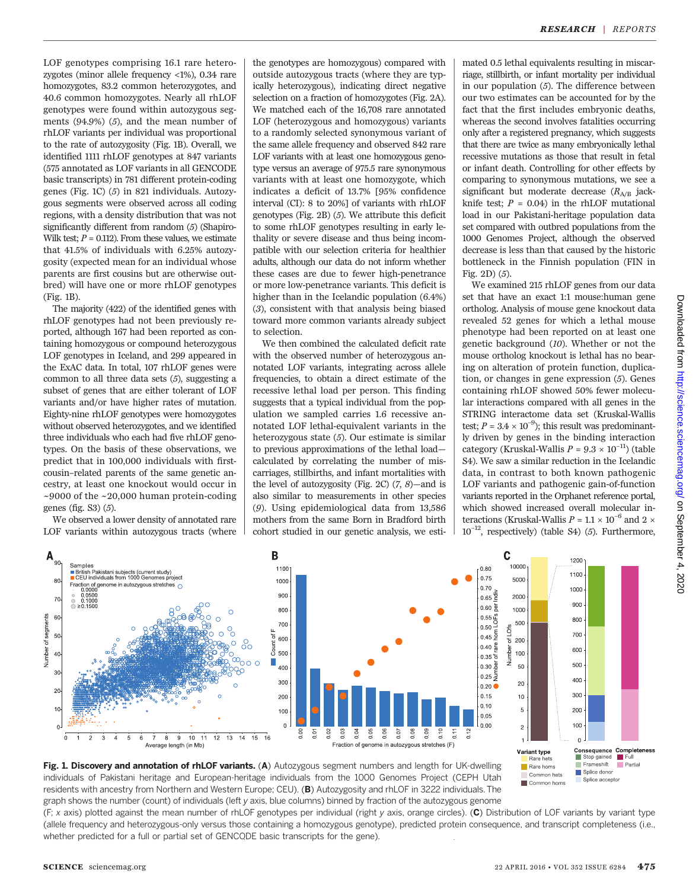LOF genotypes comprising 16.1 rare heterozygotes (minor allele frequency <1%), 0.34 rare homozygotes, 83.2 common heterozygotes, and 40.6 common homozygotes. Nearly all rhLOF genotypes were found within autozygous segments (94.9%) (5), and the mean number of rhLOF variants per individual was proportional to the rate of autozygosity (Fig. 1B). Overall, we identified 1111 rhLOF genotypes at 847 variants (575 annotated as LOF variants in all GENCODE basic transcripts) in 781 different protein-coding genes (Fig. 1C) (5) in 821 individuals. Autozygous segments were observed across all coding regions, with a density distribution that was not significantly different from random (5) (Shapiro-Wilk test;  $P = 0.112$ ). From these values, we estimate that 41.5% of individuals with 6.25% autozygosity (expected mean for an individual whose parents are first cousins but are otherwise outbred) will have one or more rhLOF genotypes (Fig. 1B).

The majority (422) of the identified genes with rhLOF genotypes had not been previously reported, although 167 had been reported as containing homozygous or compound heterozygous LOF genotypes in Iceland, and 299 appeared in the ExAC data. In total, 107 rhLOF genes were common to all three data sets (5), suggesting a subset of genes that are either tolerant of LOF variants and/or have higher rates of mutation. Eighty-nine rhLOF genotypes were homozygotes without observed heterozygotes, and we identified three individuals who each had five rhLOF genotypes. On the basis of these observations, we predict that in 100,000 individuals with firstcousin–related parents of the same genetic ancestry, at least one knockout would occur in  $\sim$ 9000 of the  $\sim$ 20,000 human protein-coding genes (fig. S3) (5).

We observed a lower density of annotated rare LOF variants within autozygous tracts (where

the genotypes are homozygous) compared with outside autozygous tracts (where they are typically heterozygous), indicating direct negative selection on a fraction of homozygotes (Fig. 2A). We matched each of the 16,708 rare annotated LOF (heterozygous and homozygous) variants to a randomly selected synonymous variant of the same allele frequency and observed 842 rare LOF variants with at least one homozygous genotype versus an average of 975.5 rare synonymous variants with at least one homozygote, which indicates a deficit of 13.7% [95% confidence interval (CI): 8 to 20%] of variants with rhLOF genotypes (Fig. 2B) (5). We attribute this deficit to some rhLOF genotypes resulting in early lethality or severe disease and thus being incompatible with our selection criteria for healthier adults, although our data do not inform whether these cases are due to fewer high-penetrance or more low-penetrance variants. This deficit is higher than in the Icelandic population (6.4%) (3), consistent with that analysis being biased toward more common variants already subject to selection.

We then combined the calculated deficit rate with the observed number of heterozygous annotated LOF variants, integrating across allele frequencies, to obtain a direct estimate of the recessive lethal load per person. This finding suggests that a typical individual from the population we sampled carries 1.6 recessive annotated LOF lethal-equivalent variants in the heterozygous state (5). Our estimate is similar to previous approximations of the lethal load calculated by correlating the number of miscarriages, stillbirths, and infant mortalities with the level of autozygosity (Fig. 2C)  $(7, 8)$ —and is also similar to measurements in other species (9). Using epidemiological data from 13,586 mothers from the same Born in Bradford birth cohort studied in our genetic analysis, we estimated 0.5 lethal equivalents resulting in miscarriage, stillbirth, or infant mortality per individual in our population (5). The difference between our two estimates can be accounted for by the fact that the first includes embryonic deaths, whereas the second involves fatalities occurring only after a registered pregnancy, which suggests that there are twice as many embryonically lethal recessive mutations as those that result in fetal or infant death. Controlling for other effects by comparing to synonymous mutations, we see a significant but moderate decrease  $(R_{A/B}$  jackknife test;  $P = 0.04$ ) in the rhLOF mutational load in our Pakistani-heritage population data set compared with outbred populations from the 1000 Genomes Project, although the observed decrease is less than that caused by the historic bottleneck in the Finnish population (FIN in Fig. 2D) (5).

We examined 215 rhLOF genes from our data set that have an exact 1:1 mouse:human gene ortholog. Analysis of mouse gene knockout data revealed 52 genes for which a lethal mouse phenotype had been reported on at least one genetic background (10). Whether or not the mouse ortholog knockout is lethal has no bearing on alteration of protein function, duplication, or changes in gene expression (5). Genes containing rhLOF showed 50% fewer molecular interactions compared with all genes in the STRING interactome data set (Kruskal-Wallis test;  $P = 3.4 \times 10^{-9}$ ); this result was predominantly driven by genes in the binding interaction category (Kruskal-Wallis  $P = 9.3 \times 10^{-11}$ ) (table S4). We saw a similar reduction in the Icelandic data, in contrast to both known pathogenic LOF variants and pathogenic gain-of-function variants reported in the Orphanet reference portal, which showed increased overall molecular interactions (Kruskal-Wallis $P = 1.1 \times 10^{-6}$  and 2  $\times$  $10^{-12}$ , respectively) (table S4) (5). Furthermore,



Fig. 1. Discovery and annotation of rhLOF variants. (A) Autozygous segment numbers and length for UK-dwelling individuals of Pakistani heritage and European-heritage individuals from the 1000 Genomes Project (CEPH Utah residents with ancestry from Northern and Western Europe; CEU). (B) Autozygosity and rhLOF in 3222 individuals. The graph shows the number (count) of individuals (left y axis, blue columns) binned by fraction of the autozygous genome

 $(F; x)$  axis) plotted against the mean number of rhLOF genotypes per individual (right y axis, orange circles). (C) Distribution of LOF variants by variant type (allele frequency and heterozygous-only versus those containing a homozygous genotype), predicted protein consequence, and transcript completeness (i.e., whether predicted for a full or partial set of GENCODE basic transcripts for the gene).

Splice donor

Splice acceptor

Rare homs

Common hets

Common homs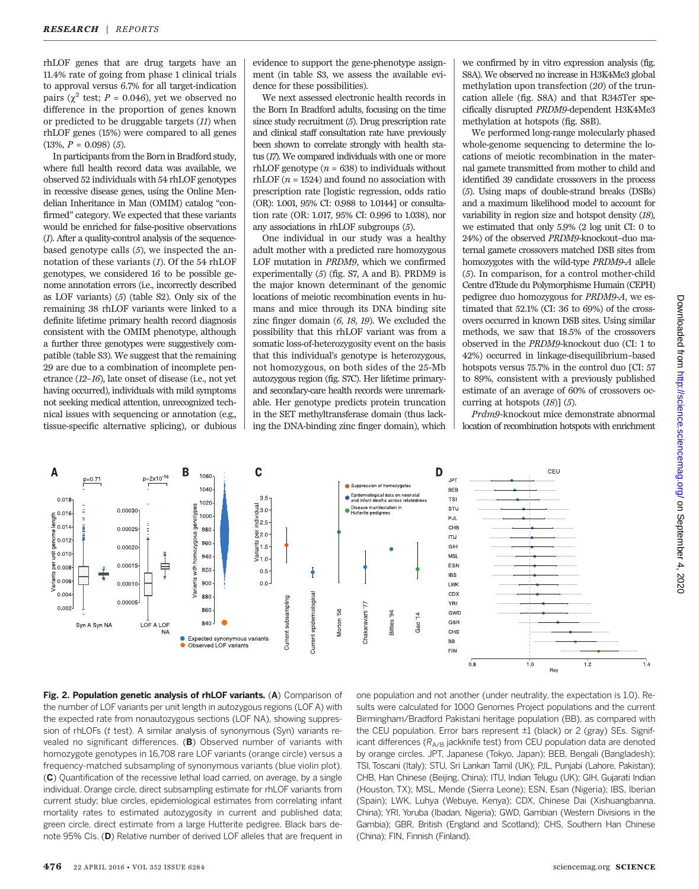rhLOF genes that are drug targets have an 11.4% rate of going from phase 1 clinical trials to approval versus 6.7% for all target-indication pairs ( $\chi^2$  test; *P* = 0.046), yet we observed no difference in the proportion of genes known or predicted to be druggable targets (11) when rhLOF genes (15%) were compared to all genes  $(13\%, P = 0.098)$  (5).

In participants from the Born in Bradford study, where full health record data was available, we observed 52 individuals with 54 rhLOF genotypes in recessive disease genes, using the Online Mendelian Inheritance in Man (OMIM) catalog "confirmed" category. We expected that these variants would be enriched for false-positive observations (1). After a quality-control analysis of the sequencebased genotype calls (5), we inspected the annotation of these variants (1). Of the 54 rhLOF genotypes, we considered 16 to be possible genome annotation errors (i.e., incorrectly described as LOF variants) (5) (table S2). Only six of the remaining 38 rhLOF variants were linked to a definite lifetime primary health record diagnosis consistent with the OMIM phenotype, although a further three genotypes were suggestively compatible (table S3). We suggest that the remaining 29 are due to a combination of incomplete penetrance (12–16), late onset of disease (i.e., not yet having occurred), individuals with mild symptoms not seeking medical attention, unrecognized technical issues with sequencing or annotation (e.g., tissue-specific alternative splicing), or dubious evidence to support the gene-phenotype assignment (in table S3, we assess the available evidence for these possibilities).

We next assessed electronic health records in the Born In Bradford adults, focusing on the time since study recruitment (5). Drug prescription rate and clinical staff consultation rate have previously been shown to correlate strongly with health status (17). We compared individuals with one or more rhLOF genotype ( $n = 638$ ) to individuals without  $rhLOF$  ( $n = 1524$ ) and found no association with prescription rate [logistic regression, odds ratio (OR): 1.001, 95% CI: 0.988 to 1.0144] or consultation rate (OR: 1.017, 95% CI: 0.996 to 1.038), nor any associations in rhLOF subgroups (5).

One individual in our study was a healthy adult mother with a predicted rare homozygous LOF mutation in PRDM9, which we confirmed experimentally (5) (fig. S7, A and B). PRDM9 is the major known determinant of the genomic locations of meiotic recombination events in humans and mice through its DNA binding site zinc finger domain (6, 18, 19). We excluded the possibility that this rhLOF variant was from a somatic loss-of-heterozygosity event on the basis that this individual's genotype is heterozygous, not homozygous, on both sides of the 25-Mb autozygous region (fig. S7C). Her lifetime primaryand secondary-care health records were unremarkable. Her genotype predicts protein truncation in the SET methyltransferase domain (thus lacking the DNA-binding zinc finger domain), which

we confirmed by in vitro expression analysis (fig. S8A). We observed no increase in H3K4Me3 global methylation upon transfection (20) of the truncation allele (fig. S8A) and that R345Ter specifically disrupted PRDM9-dependent H3K4Me3 methylation at hotspots (fig. S8B).

We performed long-range molecularly phased whole-genome sequencing to determine the locations of meiotic recombination in the maternal gamete transmitted from mother to child and identified 39 candidate crossovers in the process (5). Using maps of double-strand breaks (DSBs) and a maximum likelihood model to account for variability in region size and hotspot density (18), we estimated that only 5.9% (2 log unit CI: 0 to 24%) of the observed PRDM9-knockout–duo maternal gamete crossovers matched DSB sites from homozygotes with the wild-type PRDM9-A allele (5). In comparison, for a control mother-child Centre d'Etude du Polymorphisme Humain (CEPH) pedigree duo homozygous for PRDM9-A, we estimated that 52.1% (CI: 36 to 69%) of the crossovers occurred in known DSB sites. Using similar methods, we saw that 18.5% of the crossovers observed in the PRDM9-knockout duo (CI: 1 to 42%) occurred in linkage-disequilibrium–based hotspots versus 75.7% in the control duo [CI: 57 to 89%, consistent with a previously published estimate of an average of 60% of crossovers occurring at hotspots (18)] (5).

Prdm9-knockout mice demonstrate abnormal location of recombination hotspots with enrichment



Fig. 2. Population genetic analysis of rhLOF variants. (A) Comparison of the number of LOF variants per unit length in autozygous regions (LOF A) with the expected rate from nonautozygous sections (LOF NA), showing suppression of rhLOFs (t test). A similar analysis of synonymous (Syn) variants revealed no significant differences. (B) Observed number of variants with homozygote genotypes in 16,708 rare LOF variants (orange circle) versus a frequency-matched subsampling of synonymous variants (blue violin plot). (C) Quantification of the recessive lethal load carried, on average, by a single individual. Orange circle, direct subsampling estimate for rhLOF variants from current study; blue circles, epidemiological estimates from correlating infant mortality rates to estimated autozygosity in current and published data; green circle, direct estimate from a large Hutterite pedigree. Black bars denote 95% CIs. (D) Relative number of derived LOF alleles that are frequent in

one population and not another (under neutrality, the expectation is 1.0). Results were calculated for 1000 Genomes Project populations and the current Birmingham/Bradford Pakistani heritage population (BB), as compared with the CEU population. Error bars represent ±1 (black) or 2 (gray) SEs. Significant differences ( $R_{A/B}$  jackknife test) from CEU population data are denoted by orange circles. JPT, Japanese (Tokyo, Japan); BEB, Bengali (Bangladesh); TSI, Toscani (Italy); STU, Sri Lankan Tamil (UK); PJL, Punjabi (Lahore, Pakistan); CHB, Han Chinese (Beijing, China); ITU, Indian Telugu (UK); GIH, Gujarati Indian (Houston, TX); MSL, Mende (Sierra Leone); ESN, Esan (Nigeria); IBS, Iberian (Spain); LWK, Luhya (Webuye, Kenya); CDX, Chinese Dai (Xishuangbanna, China); YRI, Yoruba (Ibadan, Nigeria); GWD, Gambian (Western Divisions in the Gambia); GBR, British (England and Scotland); CHS, Southern Han Chinese (China); FIN, Finnish (Finland).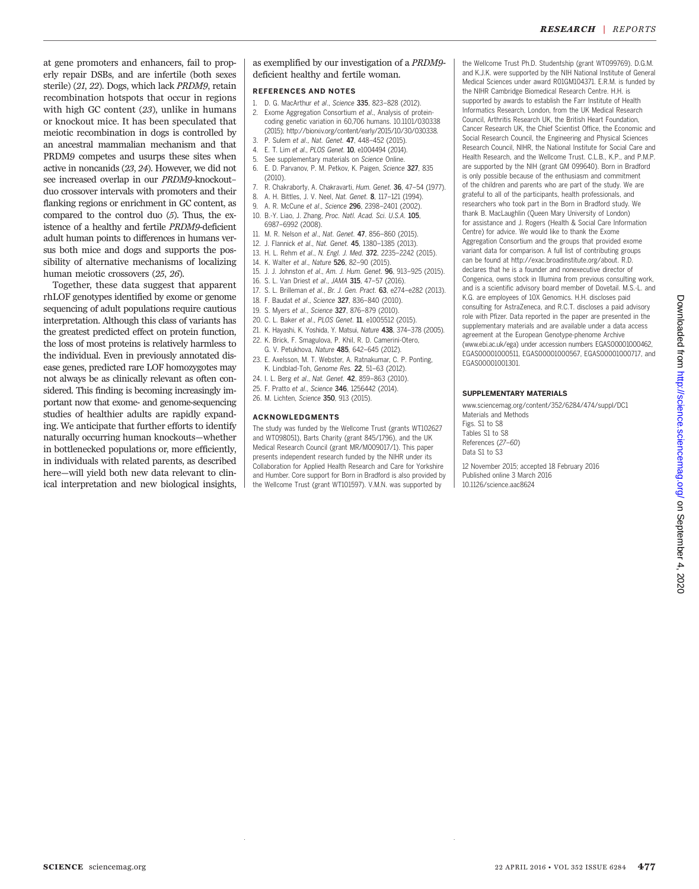at gene promoters and enhancers, fail to properly repair DSBs, and are infertile (both sexes sterile) (21, 22). Dogs, which lack PRDM9, retain recombination hotspots that occur in regions with high GC content (23), unlike in humans or knockout mice. It has been speculated that meiotic recombination in dogs is controlled by an ancestral mammalian mechanism and that PRDM9 competes and usurps these sites when active in noncanids (23, 24). However, we did not see increased overlap in our PRDM9-knockout– duo crossover intervals with promoters and their flanking regions or enrichment in GC content, as compared to the control duo  $(5)$ . Thus, the existence of a healthy and fertile PRDM9-deficient adult human points to differences in humans versus both mice and dogs and supports the possibility of alternative mechanisms of localizing human meiotic crossovers (25, 26).

Together, these data suggest that apparent rhLOF genotypes identified by exome or genome sequencing of adult populations require cautious interpretation. Although this class of variants has the greatest predicted effect on protein function, the loss of most proteins is relatively harmless to the individual. Even in previously annotated disease genes, predicted rare LOF homozygotes may not always be as clinically relevant as often considered. This finding is becoming increasingly important now that exome- and genome-sequencing studies of healthier adults are rapidly expanding. We anticipate that further efforts to identify naturally occurring human knockouts—whether in bottlenecked populations or, more efficiently, in individuals with related parents, as described here—will yield both new data relevant to clinical interpretation and new biological insights,

as exemplified by our investigation of a PRDM9 deficient healthy and fertile woman.

#### REFERENCES AND NOTES

- 1. D. G. MacArthur et al., Science 335, 823–828 (2012). 2. Exome Aggregation Consortium et al., Analysis of proteincoding genetic variation in 60,706 humans. 10.1101/030338 (2015); http://biorxiv.org/content/early/2015/10/30/030338.
- 3. P. Sulem et al., Nat. Genet. 47, 448–452 (2015).
- 4. E. T. Lim et al., PLOS Genet. 10, e1004494 (2014).
- See supplementary materials on Science Online.
- 6. E. D. Parvanov, P. M. Petkov, K. Paigen, Science 327, 835 (2010).
- 7. R. Chakraborty, A. Chakravarti, Hum. Genet. 36, 47–54 (1977).
- 8. A. H. Bittles, J. V. Neel, Nat. Genet. 8, 117–121 (1994).
- 9. A. R. McCune et al., Science 296, 2398–2401 (2002).
- 10. B.-Y. Liao, J. Zhang, Proc. Natl. Acad. Sci. U.S.A. 105, 6987–6992 (2008).
- 11. M. R. Nelson et al., Nat. Genet. 47, 856-860 (2015).
- 12. J. Flannick et al., Nat. Genet. 45, 1380–1385 (2013).
- 13. H. L. Rehm et al., N. Engl. J. Med. 372, 2235–2242 (2015).
- 14. K. Walter et al., Nature 526, 82–90 (2015).
- 15. J. J. Johnston et al., Am. J. Hum. Genet. 96, 913–925 (2015).
- 16. S. L. Van Driest et al., JAMA 315, 47–57 (2016).
- 17. S. L. Brilleman et al., Br. J. Gen. Pract. 63, e274–e282 (2013).
- 18. F. Baudat et al., Science 327, 836–840 (2010).
- 19. S. Myers et al., Science 327, 876–879 (2010).
- 20. C. L. Baker et al., PLOS Genet. 11, e1005512 (2015).
- 21. K. Hayashi, K. Yoshida, Y. Matsui, Nature 438, 374–378 (2005).
- 22. K. Brick, F. Smagulova, P. Khil, R. D. Camerini-Otero, G. V. Petukhova, Nature 485, 642–645 (2012).
- 23. E. Axelsson, M. T. Webster, A. Ratnakumar, C. P. Ponting, K. Lindblad-Toh, Genome Res. 22, 51–63 (2012).
- 24. I. L. Berg et al., Nat. Genet. 42, 859–863 (2010).
- 25. F. Pratto et al., Science 346, 1256442 (2014).
- 26. M. Lichten, Science 350, 913 (2015).

# ACKNOWLEDGMENTS

The study was funded by the Wellcome Trust (grants WT102627 and WT098051), Barts Charity (grant 845/1796), and the UK Medical Research Council (grant MR/M009017/1). This paper presents independent research funded by the NIHR under its Collaboration for Applied Health Research and Care for Yorkshire and Humber. Core support for Born in Bradford is also provided by the Wellcome Trust (grant WT101597). V.M.N. was supported by

the Wellcome Trust Ph.D. Studentship (grant WT099769). D.G.M. and K.J.K. were supported by the NIH National Institute of General Medical Sciences under award R01GM104371. E.R.M. is funded by the NIHR Cambridge Biomedical Research Centre. H.H. is supported by awards to establish the Farr Institute of Health Informatics Research, London, from the UK Medical Research Council, Arthritis Research UK, the British Heart Foundation, Cancer Research UK, the Chief Scientist Office, the Economic and Social Research Council, the Engineering and Physical Sciences Research Council, NIHR, the National Institute for Social Care and Health Research, and the Wellcome Trust. C.L.B., K.P., and P.M.P. are supported by the NIH (grant GM 099640). Born in Bradford is only possible because of the enthusiasm and commitment of the children and parents who are part of the study. We are grateful to all of the participants, health professionals, and researchers who took part in the Born in Bradford study. We thank B. MacLaughlin (Queen Mary University of London) for assistance and J. Rogers (Health & Social Care Information Centre) for advice. We would like to thank the Exome Aggregation Consortium and the groups that provided exome variant data for comparison. A full list of contributing groups can be found at http://exac.broadinstitute.org/about. R.D. declares that he is a founder and nonexecutive director of Congenica, owns stock in Illumina from previous consulting work, and is a scientific advisory board member of Dovetail. M.S.-L. and K.G. are employees of 10X Genomics. H.H. discloses paid consulting for AstraZeneca, and R.C.T. discloses a paid advisory role with Pfizer. Data reported in the paper are presented in the supplementary materials and are available under a data access agreement at the European Genotype-phenome Archive (www.ebi.ac.uk/ega) under accession numbers EGAS00001000462, EGAS00001000511, EGAS00001000567, EGAS00001000717, and EGAS00001001301.

# SUPPLEMENTARY MATERIALS

www.sciencemag.org/content/352/6284/474/suppl/DC1 Materials and Methods Figs. S1 to S8 Tables S1 to S8 References (27–60) Data S1 to S3

12 November 2015; accepted 18 February 2016 Published online 3 March 2016 10.1126/science.aac8624